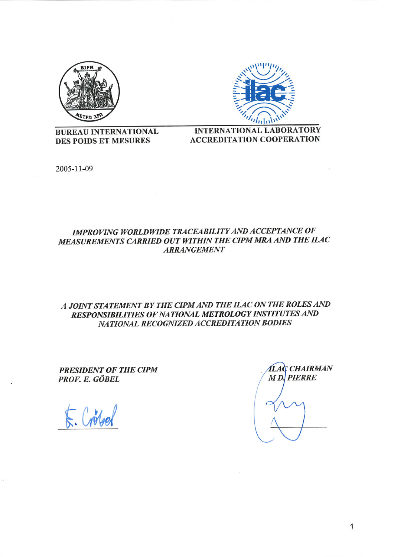



**BUREAU INTERNATIONAL** DES POIDS ET MESURES

**INTERNATIONAL LABORATORY ACCREDITATION COOPERATION** 

2005-11-09

# IMPROVING WORLDWIDE TRACEABILITY AND ACCEPTANCE OF MEASUREMENTS CARRIED OUT WITHIN THE CIPM MRA AND THE ILAC **ARRANGEMENT**

# A JOINT STATEMENT BY THE CIPM AND THE ILAC ON THE ROLES AND RESPONSIBILITIES OF NATIONAL METROLOGY INSTITUTES AND NATIONAL RECOGNIZED ACCREDITATION BODIES

**PRESIDENT OF THE CIPM** PROF. E. GÖBEL

 $E/dA$ 

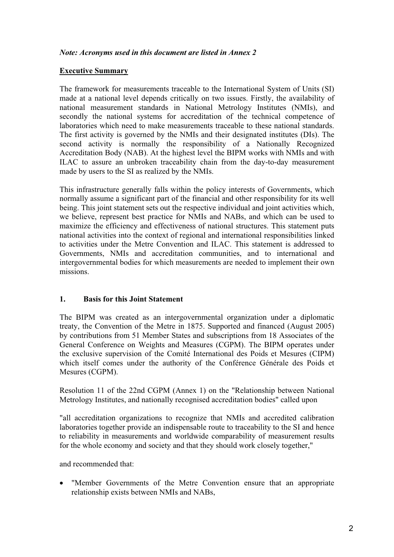### *Note: Acronyms used in this document are listed in Annex 2*

#### **Executive Summary**

The framework for measurements traceable to the International System of Units (SI) made at a national level depends critically on two issues. Firstly, the availability of national measurement standards in National Metrology Institutes (NMIs), and secondly the national systems for accreditation of the technical competence of laboratories which need to make measurements traceable to these national standards. The first activity is governed by the NMIs and their designated institutes (DIs). The second activity is normally the responsibility of a Nationally Recognized Accreditation Body (NAB). At the highest level the BIPM works with NMIs and with ILAC to assure an unbroken traceability chain from the day-to-day measurement made by users to the SI as realized by the NMIs.

This infrastructure generally falls within the policy interests of Governments, which normally assume a significant part of the financial and other responsibility for its well being. This joint statement sets out the respective individual and joint activities which, we believe, represent best practice for NMIs and NABs, and which can be used to maximize the efficiency and effectiveness of national structures. This statement puts national activities into the context of regional and international responsibilities linked to activities under the Metre Convention and ILAC. This statement is addressed to Governments, NMIs and accreditation communities, and to international and intergovernmental bodies for which measurements are needed to implement their own missions.

# **1. Basis for this Joint Statement**

The BIPM was created as an intergovernmental organization under a diplomatic treaty, the Convention of the Metre in 1875. Supported and financed (August 2005) by contributions from 51 Member States and subscriptions from 18 Associates of the General Conference on Weights and Measures (CGPM). The BIPM operates under the exclusive supervision of the Comité International des Poids et Mesures (CIPM) which itself comes under the authority of the Conférence Générale des Poids et Mesures (CGPM).

Resolution 11 of the 22nd CGPM (Annex 1) on the "Relationship between National Metrology Institutes, and nationally recognised accreditation bodies" called upon

"all accreditation organizations to recognize that NMIs and accredited calibration laboratories together provide an indispensable route to traceability to the SI and hence to reliability in measurements and worldwide comparability of measurement results for the whole economy and society and that they should work closely together,"

and recommended that:

 $\bullet$  "Member Governments of the Metre Convention ensure that an appropriate relationship exists between NMIs and NABs,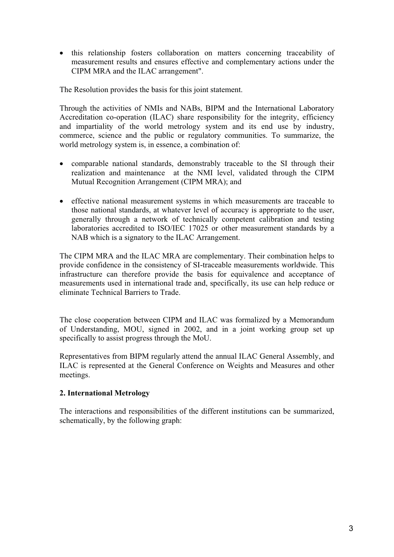- this relationship fosters collaboration on matters concerning traceability of measurement results and ensures effective and complementary actions under the CIPM MRA and the ILAC arrangement".

The Resolution provides the basis for this joint statement.

Through the activities of NMIs and NABs, BIPM and the International Laboratory Accreditation co-operation (ILAC) share responsibility for the integrity, efficiency and impartiality of the world metrology system and its end use by industry, commerce, science and the public or regulatory communities. To summarize, the world metrology system is, in essence, a combination of:

- comparable national standards, demonstrably traceable to the SI through their realization and maintenance at the NMI level, validated through the CIPM Mutual Recognition Arrangement (CIPM MRA); and
- effective national measurement systems in which measurements are traceable to those national standards, at whatever level of accuracy is appropriate to the user, generally through a network of technically competent calibration and testing laboratories accredited to ISO/IEC 17025 or other measurement standards by a NAB which is a signatory to the ILAC Arrangement.

The CIPM MRA and the ILAC MRA are complementary. Their combination helps to provide confidence in the consistency of SI-traceable measurements worldwide. This infrastructure can therefore provide the basis for equivalence and acceptance of measurements used in international trade and, specifically, its use can help reduce or eliminate Technical Barriers to Trade.

The close cooperation between CIPM and ILAC was formalized by a Memorandum of Understanding, MOU, signed in 2002, and in a joint working group set up specifically to assist progress through the MoU.

Representatives from BIPM regularly attend the annual ILAC General Assembly, and ILAC is represented at the General Conference on Weights and Measures and other meetings.

# **2. International Metrology**

The interactions and responsibilities of the different institutions can be summarized, schematically, by the following graph: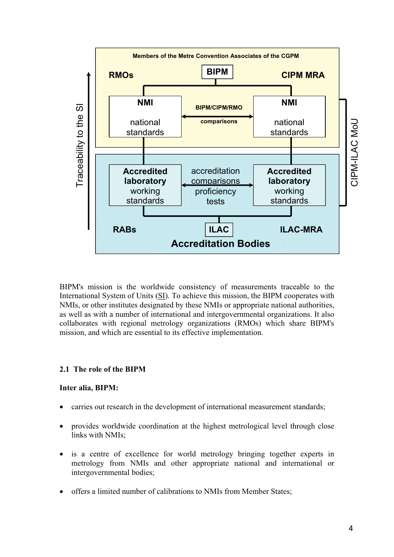

BIPM's mission is the worldwide consistency of measurements traceable to the International System of Units (SI). To achieve this mission, the BIPM cooperates with NMIs, or other institutes designated by these NMIs or appropriate national authorities, as well as with a number of international and intergovernmental organizations. It also collaborates with regional metrology organizations (RMOs) which share BIPM's mission, and which are essential to its effective implementation.

# **2.1 The role of the BIPM**

# **Inter alia, BIPM:**

- $\bullet$ carries out research in the development of international measurement standards;
- $\bullet$  provides worldwide coordination at the highest metrological level through close links with NMIs;
- $\bullet$  is a centre of excellence for world metrology bringing together experts in metrology from NMIs and other appropriate national and international or intergovernmental bodies;
- $\bullet$ offers a limited number of calibrations to NMIs from Member States;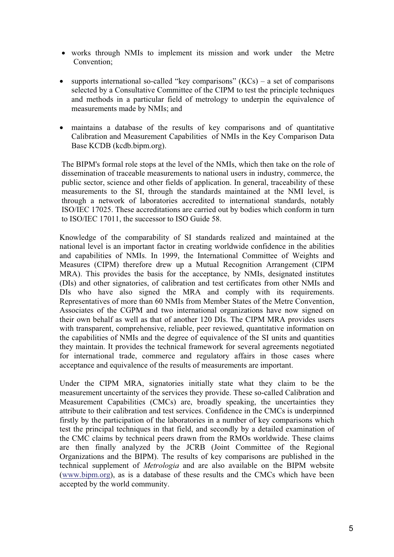- works through NMIs to implement its mission and work under the Metre Convention;
- supports international so-called "key comparisons"  $(KCs)$  a set of comparisons selected by a Consultative Committee of the CIPM to test the principle techniques and methods in a particular field of metrology to underpin the equivalence of measurements made by NMIs; and
- maintains a database of the results of key comparisons and of quantitative Calibration and Measurement Capabilities of NMIs in the Key Comparison Data Base KCDB (kcdb.bipm.org).

The BIPM's formal role stops at the level of the NMIs, which then take on the role of dissemination of traceable measurements to national users in industry, commerce, the public sector, science and other fields of application. In general, traceability of these measurements to the SI, through the standards maintained at the NMI level, is through a network of laboratories accredited to international standards, notably ISO/IEC 17025. These accreditations are carried out by bodies which conform in turn to ISO/IEC 17011, the successor to ISO Guide 58.

Knowledge of the comparability of SI standards realized and maintained at the national level is an important factor in creating worldwide confidence in the abilities and capabilities of NMIs. In 1999, the International Committee of Weights and Measures (CIPM) therefore drew up a Mutual Recognition Arrangement (CIPM MRA). This provides the basis for the acceptance, by NMIs, designated institutes (DIs) and other signatories, of calibration and test certificates from other NMIs and DIs who have also signed the MRA and comply with its requirements. Representatives of more than 60 NMIs from Member States of the Metre Convention, Associates of the CGPM and two international organizations have now signed on their own behalf as well as that of another 120 DIs. The CIPM MRA provides users with transparent, comprehensive, reliable, peer reviewed, quantitative information on the capabilities of NMIs and the degree of equivalence of the SI units and quantities they maintain. It provides the technical framework for several agreements negotiated for international trade, commerce and regulatory affairs in those cases where acceptance and equivalence of the results of measurements are important.

Under the CIPM MRA, signatories initially state what they claim to be the measurement uncertainty of the services they provide. These so-called Calibration and Measurement Capabilities (CMCs) are, broadly speaking, the uncertainties they attribute to their calibration and test services. Confidence in the CMCs is underpinned firstly by the participation of the laboratories in a number of key comparisons which test the principal techniques in that field, and secondly by a detailed examination of the CMC claims by technical peers drawn from the RMOs worldwide. These claims are then finally analyzed by the JCRB (Joint Committee of the Regional Organizations and the BIPM). The results of key comparisons are published in the technical supplement of *Metrologia* and are also available on the BIPM website (www.bipm.org), as is a database of these results and the CMCs which have been accepted by the world community.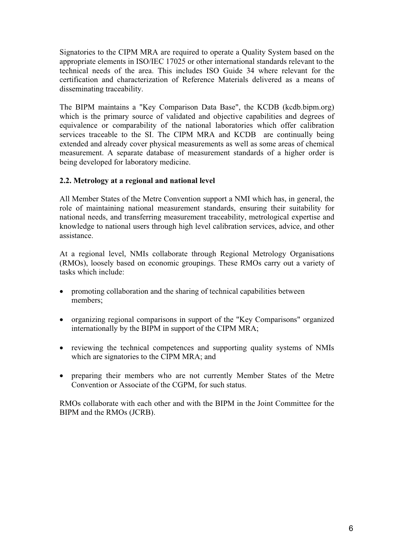Signatories to the CIPM MRA are required to operate a Quality System based on the appropriate elements in ISO/IEC 17025 or other international standards relevant to the technical needs of the area. This includes ISO Guide 34 where relevant for the certification and characterization of Reference Materials delivered as a means of disseminating traceability.

The BIPM maintains a "Key Comparison Data Base", the KCDB (kcdb.bipm.org) which is the primary source of validated and objective capabilities and degrees of equivalence or comparability of the national laboratories which offer calibration services traceable to the SI. The CIPM MRA and KCDB are continually being extended and already cover physical measurements as well as some areas of chemical measurement. A separate database of measurement standards of a higher order is being developed for laboratory medicine.

# **2.2. Metrology at a regional and national level**

All Member States of the Metre Convention support a NMI which has, in general, the role of maintaining national measurement standards, ensuring their suitability for national needs, and transferring measurement traceability, metrological expertise and knowledge to national users through high level calibration services, advice, and other assistance.

At a regional level, NMIs collaborate through Regional Metrology Organisations (RMOs), loosely based on economic groupings. These RMOs carry out a variety of tasks which include:

- promoting collaboration and the sharing of technical capabilities between members;
- organizing regional comparisons in support of the "Key Comparisons" organized internationally by the BIPM in support of the CIPM MRA;
- reviewing the technical competences and supporting quality systems of NMIs which are signatories to the CIPM MRA; and
- $\bullet$  preparing their members who are not currently Member States of the Metre Convention or Associate of the CGPM, for such status.

RMOs collaborate with each other and with the BIPM in the Joint Committee for the BIPM and the RMOs (JCRB).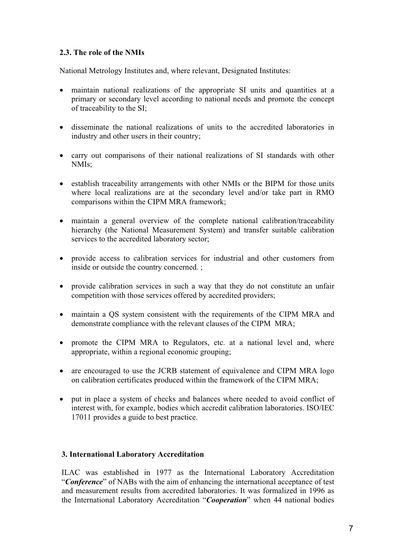# **2.3. The role of the NMIs**

National Metrology Institutes and, where relevant, Designated Institutes:

- $\bullet$  maintain national realizations of the appropriate SI units and quantities at a primary or secondary level according to national needs and promote the concept of traceability to the SI;
- disseminate the national realizations of units to the accredited laboratories in industry and other users in their country;
- carry out comparisons of their national realizations of SI standards with other NMIs;
- establish traceability arrangements with other NMIs or the BIPM for those units where local realizations are at the secondary level and/or take part in RMO comparisons within the CIPM MRA framework;
- maintain a general overview of the complete national calibration/traceability hierarchy (the National Measurement System) and transfer suitable calibration services to the accredited laboratory sector;
- provide access to calibration services for industrial and other customers from inside or outside the country concerned. ;
- provide calibration services in such a way that they do not constitute an unfair competition with those services offered by accredited providers;
- maintain a QS system consistent with the requirements of the CIPM MRA and demonstrate compliance with the relevant clauses of the CIPM MRA;
- $\bullet$  promote the CIPM MRA to Regulators, etc. at a national level and, where appropriate, within a regional economic grouping;
- are encouraged to use the JCRB statement of equivalence and CIPM MRA logo on calibration certificates produced within the framework of the CIPM MRA;
- put in place a system of checks and balances where needed to avoid conflict of interest with, for example, bodies which accredit calibration laboratories. ISO/IEC 17011 provides a guide to best practice.

# **3. International Laboratory Accreditation**

ILAC was established in 1977 as the International Laboratory Accreditation "*Conference*" of NABs with the aim of enhancing the international acceptance of test and measurement results from accredited laboratories. It was formalized in 1996 as the International Laboratory Accreditation "*Cooperation*" when 44 national bodies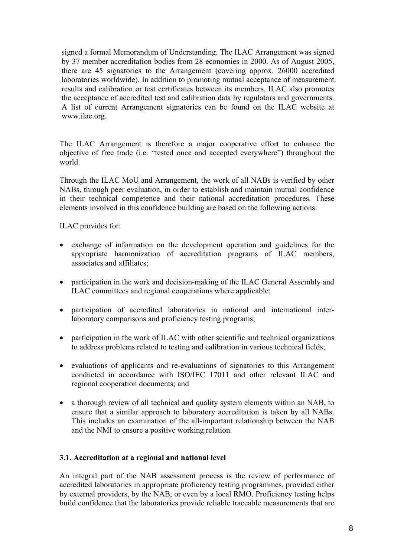signed a formal Memorandum of Understanding. The ILAC Arrangement was signed by 37 member accreditation bodies from 28 economies in 2000. As of August 2005, there are 45 signatories to the Arrangement (covering approx. 26000 accredited laboratories worldwide). In addition to promoting mutual acceptance of measurement results and calibration or test certificates between its members, ILAC also promotes the acceptance of accredited test and calibration data by regulators and governments. A list of current Arrangement signatories can be found on the ILAC website at www.ilac.org.

The ILAC Arrangement is therefore a major cooperative effort to enhance the objective of free trade (i.e. "tested once and accepted everywhere") throughout the world.

Through the ILAC MoU and Arrangement, the work of all NABs is verified by other NABs, through peer evaluation, in order to establish and maintain mutual confidence in their technical competence and their national accreditation procedures. These elements involved in this confidence building are based on the following actions:

ILAC provides for:

- exchange of information on the development operation and guidelines for the appropriate harmonization of accreditation programs of ILAC members, associates and affiliates;
- participation in the work and decision-making of the ILAC General Assembly and ILAC committees and regional cooperations where applicable;
- participation of accredited laboratories in national and international interlaboratory comparisons and proficiency testing programs;
- participation in the work of ILAC with other scientific and technical organizations to address problems related to testing and calibration in various technical fields;
- evaluations of applicants and re-evaluations of signatories to this Arrangement conducted in accordance with ISO/IEC 17011 and other relevant ILAC and regional cooperation documents; and
- a thorough review of all technical and quality system elements within an NAB, to ensure that a similar approach to laboratory accreditation is taken by all NABs. This includes an examination of the all-important relationship between the NAB and the NMI to ensure a positive working relation.

#### **3.1. Accreditation at a regional and national level**

An integral part of the NAB assessment process is the review of performance of accredited laboratories in appropriate proficiency testing programmes, provided either by external providers, by the NAB, or even by a local RMO. Proficiency testing helps build confidence that the laboratories provide reliable traceable measurements that are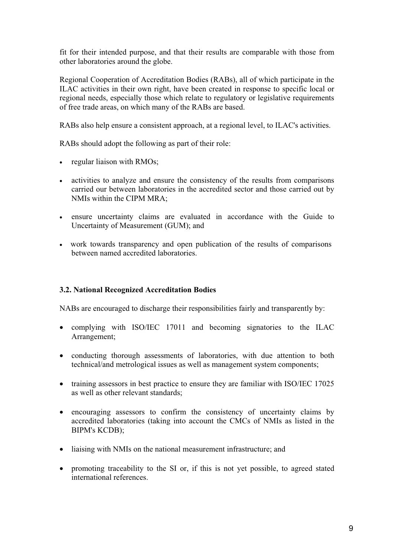fit for their intended purpose, and that their results are comparable with those from other laboratories around the globe.

Regional Cooperation of Accreditation Bodies (RABs), all of which participate in the ILAC activities in their own right, have been created in response to specific local or regional needs, especially those which relate to regulatory or legislative requirements of free trade areas, on which many of the RABs are based.

RABs also help ensure a consistent approach, at a regional level, to ILAC's activities.

RABs should adopt the following as part of their role:

- regular liaison with RMOs;
- activities to analyze and ensure the consistency of the results from comparisons carried our between laboratories in the accredited sector and those carried out by NMIs within the CIPM MRA;
- ensure uncertainty claims are evaluated in accordance with the Guide to Uncertainty of Measurement (GUM); and
- work towards transparency and open publication of the results of comparisons between named accredited laboratories.

# **3.2. National Recognized Accreditation Bodies**

NABs are encouraged to discharge their responsibilities fairly and transparently by:

- complying with ISO/IEC 17011 and becoming signatories to the ILAC Arrangement;
- conducting thorough assessments of laboratories, with due attention to both technical/and metrological issues as well as management system components;
- training assessors in best practice to ensure they are familiar with ISO/IEC 17025 as well as other relevant standards;
- encouraging assessors to confirm the consistency of uncertainty claims by accredited laboratories (taking into account the CMCs of NMIs as listed in the BIPM's KCDB);
- liaising with NMIs on the national measurement infrastructure; and
- promoting traceability to the SI or, if this is not yet possible, to agreed stated international references.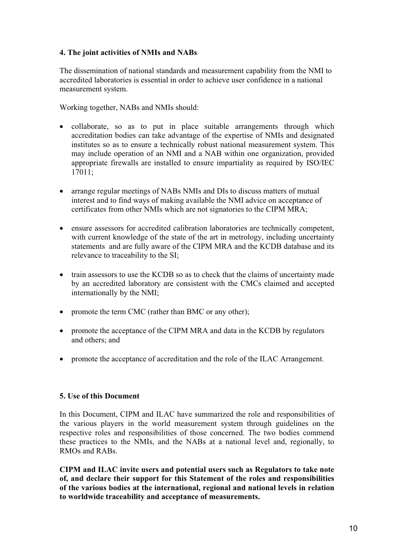# **4. The joint activities of NMIs and NABs**

The dissemination of national standards and measurement capability from the NMI to accredited laboratories is essential in order to achieve user confidence in a national measurement system.

Working together, NABs and NMIs should:

- collaborate, so as to put in place suitable arrangements through which accreditation bodies can take advantage of the expertise of NMIs and designated institutes so as to ensure a technically robust national measurement system. This may include operation of an NMI and a NAB within one organization, provided appropriate firewalls are installed to ensure impartiality as required by ISO/IEC 17011;
- arrange regular meetings of NABs NMIs and DIs to discuss matters of mutual interest and to find ways of making available the NMI advice on acceptance of certificates from other NMIs which are not signatories to the CIPM MRA;
- ensure assessors for accredited calibration laboratories are technically competent, with current knowledge of the state of the art in metrology, including uncertainty statements and are fully aware of the CIPM MRA and the KCDB database and its relevance to traceability to the SI;
- train assessors to use the KCDB so as to check that the claims of uncertainty made by an accredited laboratory are consistent with the CMCs claimed and accepted internationally by the NMI;
- promote the term CMC (rather than BMC or any other);
- promote the acceptance of the CIPM MRA and data in the KCDB by regulators and others; and
- promote the acceptance of accreditation and the role of the ILAC Arrangement.

#### **5. Use of this Document**

In this Document, CIPM and ILAC have summarized the role and responsibilities of the various players in the world measurement system through guidelines on the respective roles and responsibilities of those concerned. The two bodies commend these practices to the NMIs, and the NABs at a national level and, regionally, to RMOs and RABs.

**CIPM and ILAC invite users and potential users such as Regulators to take note of, and declare their support for this Statement of the roles and responsibilities of the various bodies at the international, regional and national levels in relation to worldwide traceability and acceptance of measurements.**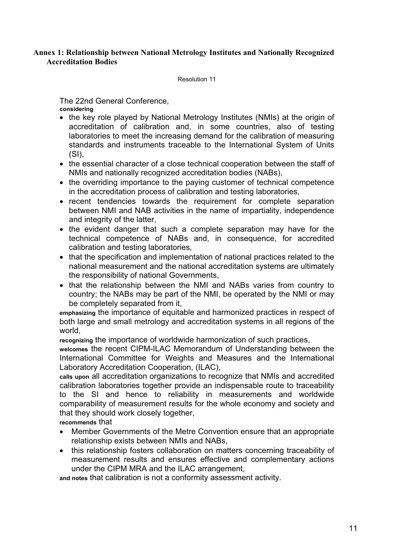# **Annex 1: Relationship between National Metrology Institutes and Nationally Recognized Accreditation Bodies**

Resolution 11

The 22nd General Conference, **considering**

- the key role played by National Metrology Institutes (NMIs) at the origin of accreditation of calibration and, in some countries, also of testing laboratories to meet the increasing demand for the calibration of measuring standards and instruments traceable to the International System of Units  $(SI)$ .
- the essential character of a close technical cooperation between the staff of NMIs and nationally recognized accreditation bodies (NABs),
- the overriding importance to the paying customer of technical competence in the accreditation process of calibration and testing laboratories,
- recent tendencies towards the requirement for complete separation between NMI and NAB activities in the name of impartiality, independence and integrity of the latter,
- the evident danger that such a complete separation may have for the technical competence of NABs and, in consequence, for accredited calibration and testing laboratories,
- that the specification and implementation of national practices related to the national measurement and the national accreditation systems are ultimately the responsibility of national Governments,
- that the relationship between the NMI and NABs varies from country to country; the NABs may be part of the NMI, be operated by the NMI or may be completely separated from it,

**emphasizing** the importance of equitable and harmonized practices in respect of both large and small metrology and accreditation systems in all regions of the world,

**recognizing** the importance of worldwide harmonization of such practices,

**welcomes** the recent CIPM-ILAC Memorandum of Understanding between the International Committee for Weights and Measures and the International Laboratory Accreditation Cooperation, (ILAC),

**calls upon** all accreditation organizations to recognize that NMIs and accredited calibration laboratories together provide an indispensable route to traceability to the SI and hence to reliability in measurements and worldwide comparability of measurement results for the whole economy and society and that they should work closely together,

**recommends** that

- $\bullet$  Member Governments of the Metre Convention ensure that an appropriate relationship exists between NMIs and NABs,
- this relationship fosters collaboration on matters concerning traceability of measurement results and ensures effective and complementary actions under the CIPM MRA and the ILAC arrangement,

**and notes** that calibration is not a conformity assessment activity.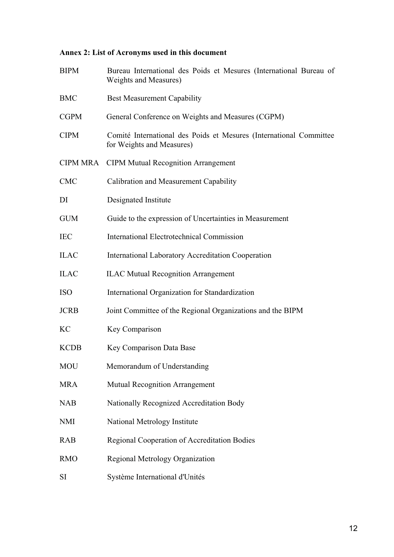# **Annex 2: List of Acronyms used in this document**

| <b>BIPM</b>     | Bureau International des Poids et Mesures (International Bureau of<br><b>Weights and Measures)</b> |
|-----------------|----------------------------------------------------------------------------------------------------|
| <b>BMC</b>      | <b>Best Measurement Capability</b>                                                                 |
| <b>CGPM</b>     | General Conference on Weights and Measures (CGPM)                                                  |
| <b>CIPM</b>     | Comité International des Poids et Mesures (International Committee<br>for Weights and Measures)    |
| <b>CIPM MRA</b> | <b>CIPM Mutual Recognition Arrangement</b>                                                         |
| <b>CMC</b>      | Calibration and Measurement Capability                                                             |
| DI              | Designated Institute                                                                               |
| <b>GUM</b>      | Guide to the expression of Uncertainties in Measurement                                            |
| <b>IEC</b>      | <b>International Electrotechnical Commission</b>                                                   |
| <b>ILAC</b>     | <b>International Laboratory Accreditation Cooperation</b>                                          |
| <b>ILAC</b>     | <b>ILAC Mutual Recognition Arrangement</b>                                                         |
| <b>ISO</b>      | International Organization for Standardization                                                     |
| <b>JCRB</b>     | Joint Committee of the Regional Organizations and the BIPM                                         |
| <b>KC</b>       | Key Comparison                                                                                     |
| <b>KCDB</b>     | Key Comparison Data Base                                                                           |
| <b>MOU</b>      | Memorandum of Understanding                                                                        |
| <b>MRA</b>      | <b>Mutual Recognition Arrangement</b>                                                              |
| <b>NAB</b>      | Nationally Recognized Accreditation Body                                                           |
| <b>NMI</b>      | National Metrology Institute                                                                       |
| <b>RAB</b>      | Regional Cooperation of Accreditation Bodies                                                       |
| <b>RMO</b>      | Regional Metrology Organization                                                                    |
| SI              | Système International d'Unités                                                                     |